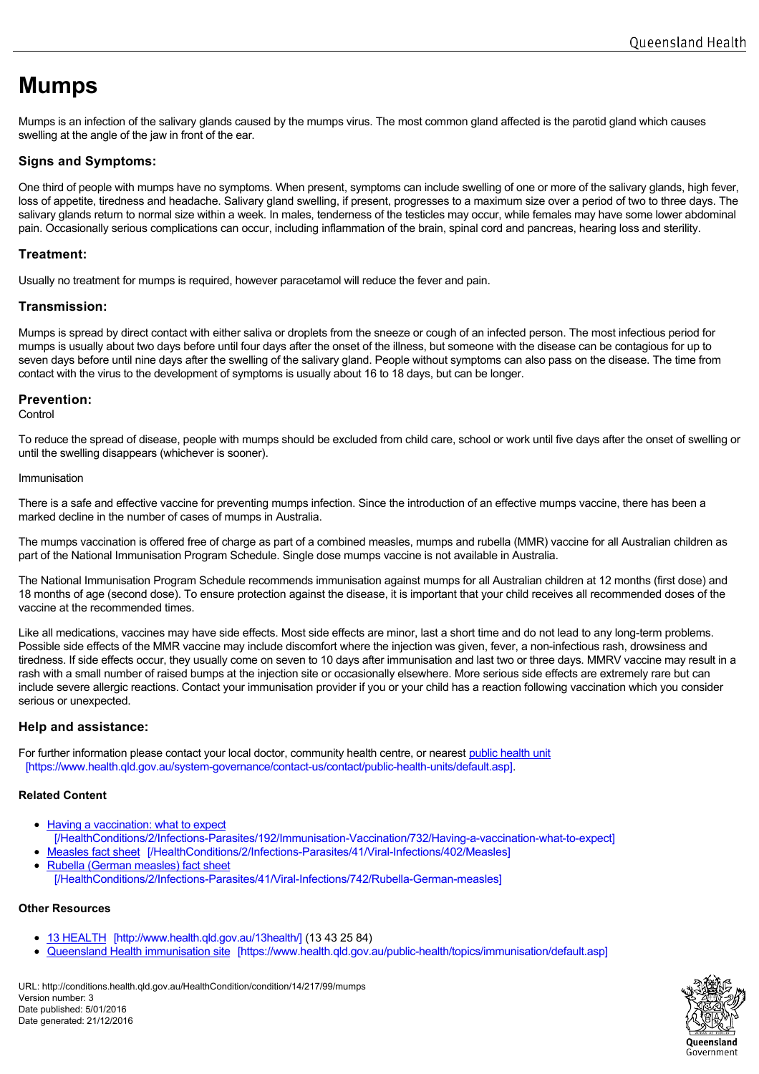# **Mumps**

Mumps is an infection of the salivary glands caused by the mumps virus. The most common gland affected is the parotid gland which causes swelling at the angle of the jaw in front of the ear.

# **Signs and Symptoms:**

One third of people with mumps have no symptoms. When present, symptoms can include swelling of one or more of the salivary glands, high fever. loss of appetite, tiredness and headache. Salivary gland swelling, if present, progresses to a maximum size over a period of two to three days. The salivary glands return to normal size within a week. In males, tenderness of the testicles may occur, while females may have some lower abdominal pain. Occasionally serious complications can occur, including inflammation of the brain, spinal cord and pancreas, hearing loss and sterility.

# **Treatment:**

Usually no treatment for mumps is required, however paracetamol will reduce the fever and pain.

# **Transmission:**

Mumps is spread by direct contact with either saliva or droplets from the sneeze or cough of an infected person. The most infectious period for mumps is usually about two days before until four days after the onset of the illness, but someone with the disease can be contagious for up to seven days before until nine days after the swelling of the salivary gland. People without symptoms can also pass on the disease. The time from contact with the virus to the development of symptoms is usually about 16 to 18 days, but can be longer.

## **Prevention:**

**Control** 

To reduce the spread of disease, people with mumps should be excluded from child care, school or work until five days after the onset of swelling or until the swelling disappears (whichever is sooner).

#### Immunisation

There is a safe and effective vaccine for preventing mumps infection. Since the introduction of an effective mumps vaccine, there has been a marked decline in the number of cases of mumps in Australia.

The mumps vaccination is offered free of charge as part of a combined measles, mumps and rubella (MMR) vaccine for all Australian children as part of the National Immunisation Program Schedule. Single dose mumps vaccine is not available in Australia.

The National Immunisation Program Schedule recommends immunisation against mumps for all Australian children at 12 months (first dose) and 18 months of age (second dose). To ensure protection against the disease, it is important that your child receives all recommended doses of the vaccine at the recommended times.

Like all medications, vaccines may have side effects. Most side effects are minor, last a short time and do not lead to any long-term problems. Possible side effects of the MMR vaccine may include discomfort where the injection was given, fever, a non-infectious rash, drowsiness and tiredness. If side effects occur, they usually come on seven to 10 days after immunisation and last two or three days. MMRV vaccine may result in a rash with a small number of raised bumps at the injection site or occasionally elsewhere. More serious side effects are extremely rare but can include severe allergic reactions. Contact your immunisation provider if you or your child has a reaction following vaccination which you consider serious or unexpected.

## **Help and assistance:**

For further information please contact your local doctor, community health centre, or nearest [public hea](https://www.health.qld.gov.au/system-governance/contact-us/contact/public-health-units/default.asp)lth unit [https://www.health.qld.gov.au/system-governance/contact-us/contact/public-health-units/default.asp].

## **Related Content**

- Having a vaccination: what to expect
- [\[/HealthConditions/2/Infections-Parasites/192/Immunisation-Vaccination/732/Having-a-vaccination-what-to-expect\]](http://conditions.health.qld.gov.au/HealthConditions/2/Infections-Parasites/192/Immunisation-Vaccination/732/Having-a-vaccination-what-to-expect)
- Measles fact sheet [\[/HealthConditions/2/Infections-Parasites/41/Viral-Infections/402/Measles\]](http://conditions.health.qld.gov.au/HealthConditions/2/Infections-Parasites/41/Viral-Infections/402/Measles)
- Rubella (German measles) fact sheet [\[/HealthConditions/2/Infections-Parasites/41/Viral-Infections/742/Rubella-German-measles\]](http://conditions.health.qld.gov.au/HealthConditions/2/Infections-Parasites/41/Viral-Infections/742/Rubella-German-measles)

## **Other Resources**

- 13 HEALTH [\[http://www.health.qld.gov.au/13health/\]](http://www.health.qld.gov.au/13health/) (13 43 25 84)
- Queensland Health immunisation site [\[https://www.health.qld.gov.au/public-health/topics/immunisation/default.asp\]](https://www.health.qld.gov.au/public-health/topics/immunisation/default.asp)  $\bullet$

URL: http://conditions.health.qld.gov.au/HealthCondition/condition/14/217/99/mumps Version number: 3 Date published: 5/01/2016 Date generated: 21/12/2016